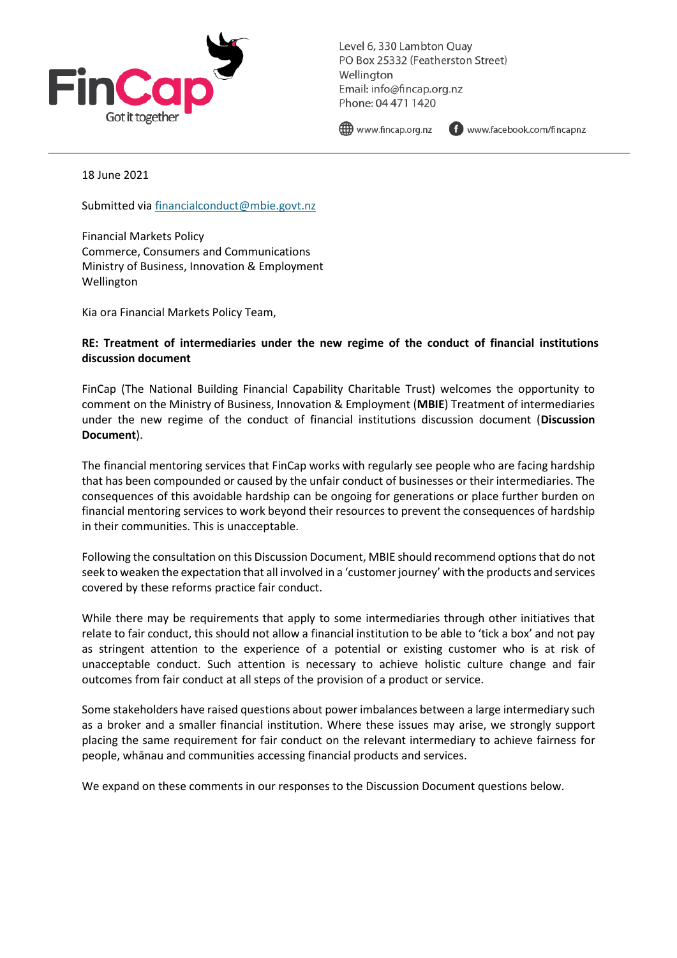

Level 6, 330 Lambton Quay PO Box 25332 (Featherston Street) Wellington Email: info@fincap.org.nz Phone: 04 471 1420

() www.fincap.org.nz

www.facebook.com/fincapnz

18 June 2021

Submitted via [financialconduct@mbie.govt.nz](mailto:financialconduct@mbie.govt.nz)

Financial Markets Policy Commerce, Consumers and Communications Ministry of Business, Innovation & Employment Wellington

Kia ora Financial Markets Policy Team,

#### **RE: Treatment of intermediaries under the new regime of the conduct of financial institutions discussion document**

FinCap (The National Building Financial Capability Charitable Trust) welcomes the opportunity to comment on the Ministry of Business, Innovation & Employment (**MBIE**) Treatment of intermediaries under the new regime of the conduct of financial institutions discussion document (**Discussion Document**).

The financial mentoring services that FinCap works with regularly see people who are facing hardship that has been compounded or caused by the unfair conduct of businesses or their intermediaries. The consequences of this avoidable hardship can be ongoing for generations or place further burden on financial mentoring services to work beyond their resources to prevent the consequences of hardship in their communities. This is unacceptable.

Following the consultation on this Discussion Document, MBIE should recommend options that do not seek to weaken the expectation that all involved in a 'customer journey' with the products and services covered by these reforms practice fair conduct.

While there may be requirements that apply to some intermediaries through other initiatives that relate to fair conduct, this should not allow a financial institution to be able to 'tick a box' and not pay as stringent attention to the experience of a potential or existing customer who is at risk of unacceptable conduct. Such attention is necessary to achieve holistic culture change and fair outcomes from fair conduct at all steps of the provision of a product or service.

Some stakeholders have raised questions about power imbalances between a large intermediary such as a broker and a smaller financial institution. Where these issues may arise, we strongly support placing the same requirement for fair conduct on the relevant intermediary to achieve fairness for people, whānau and communities accessing financial products and services.

We expand on these comments in our responses to the Discussion Document questions below.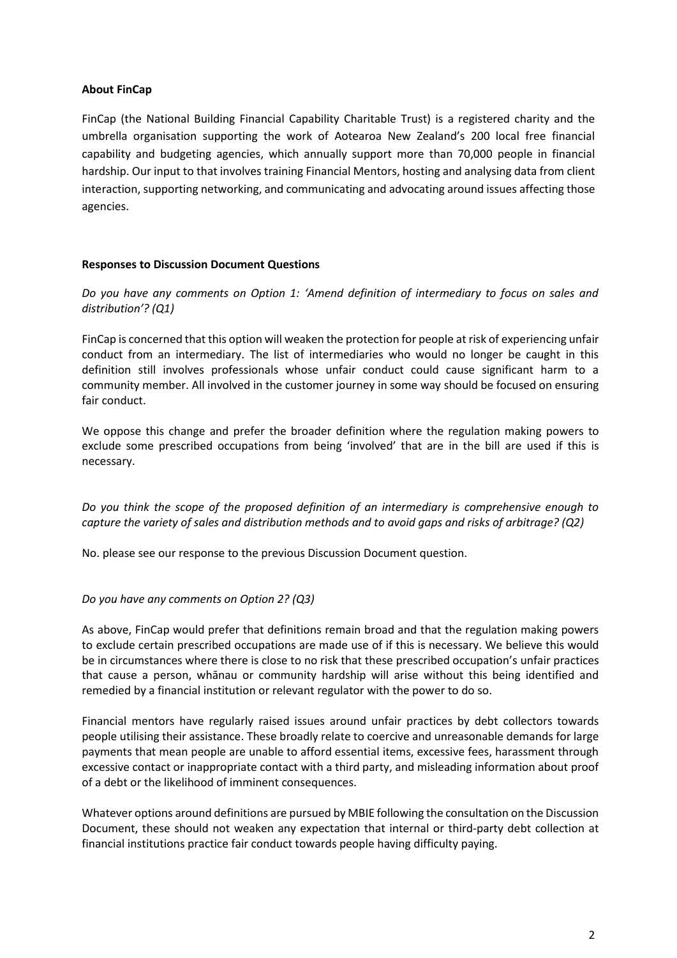#### **About FinCap**

FinCap (the National Building Financial Capability Charitable Trust) is a registered charity and the umbrella organisation supporting the work of Aotearoa New Zealand's 200 local free financial capability and budgeting agencies, which annually support more than 70,000 people in financial hardship. Our input to that involves training Financial Mentors, hosting and analysing data from client interaction, supporting networking, and communicating and advocating around issues affecting those agencies.

#### **Responses to Discussion Document Questions**

*Do you have any comments on Option 1: 'Amend definition of intermediary to focus on sales and distribution'? (Q1)*

FinCap is concerned that this option will weaken the protection for people at risk of experiencing unfair conduct from an intermediary. The list of intermediaries who would no longer be caught in this definition still involves professionals whose unfair conduct could cause significant harm to a community member. All involved in the customer journey in some way should be focused on ensuring fair conduct.

We oppose this change and prefer the broader definition where the regulation making powers to exclude some prescribed occupations from being 'involved' that are in the bill are used if this is necessary.

*Do you think the scope of the proposed definition of an intermediary is comprehensive enough to capture the variety of sales and distribution methods and to avoid gaps and risks of arbitrage? (Q2)*

No. please see our response to the previous Discussion Document question.

# *Do you have any comments on Option 2? (Q3)*

As above, FinCap would prefer that definitions remain broad and that the regulation making powers to exclude certain prescribed occupations are made use of if this is necessary. We believe this would be in circumstances where there is close to no risk that these prescribed occupation's unfair practices that cause a person, whānau or community hardship will arise without this being identified and remedied by a financial institution or relevant regulator with the power to do so.

Financial mentors have regularly raised issues around unfair practices by debt collectors towards people utilising their assistance. These broadly relate to coercive and unreasonable demands for large payments that mean people are unable to afford essential items, excessive fees, harassment through excessive contact or inappropriate contact with a third party, and misleading information about proof of a debt or the likelihood of imminent consequences.

Whatever options around definitions are pursued by MBIE following the consultation on the Discussion Document, these should not weaken any expectation that internal or third-party debt collection at financial institutions practice fair conduct towards people having difficulty paying.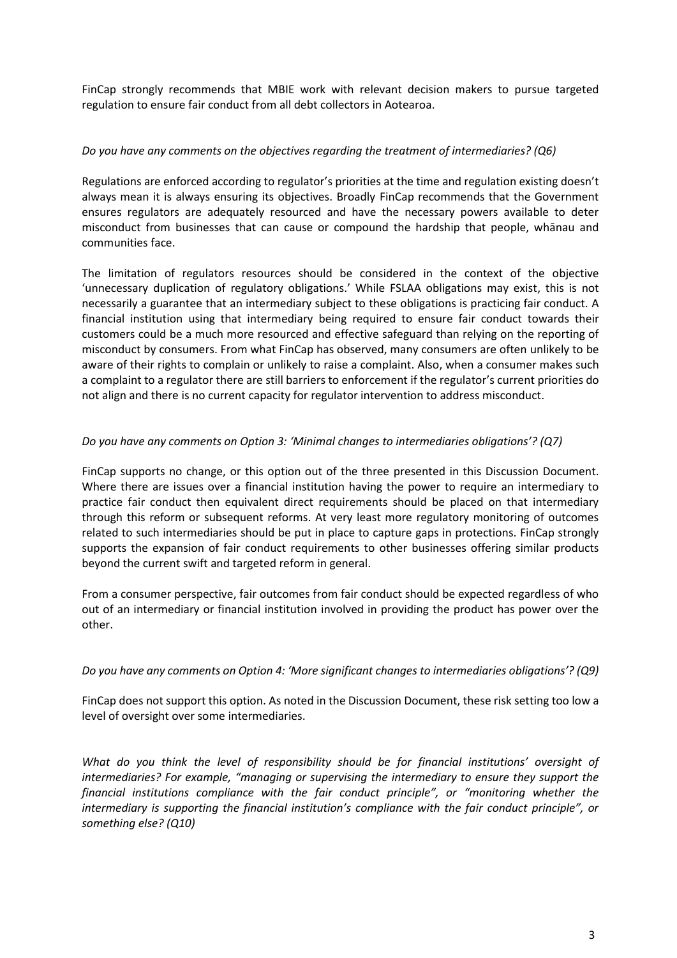FinCap strongly recommends that MBIE work with relevant decision makers to pursue targeted regulation to ensure fair conduct from all debt collectors in Aotearoa.

### *Do you have any comments on the objectives regarding the treatment of intermediaries? (Q6)*

Regulations are enforced according to regulator's priorities at the time and regulation existing doesn't always mean it is always ensuring its objectives. Broadly FinCap recommends that the Government ensures regulators are adequately resourced and have the necessary powers available to deter misconduct from businesses that can cause or compound the hardship that people, whānau and communities face.

The limitation of regulators resources should be considered in the context of the objective 'unnecessary duplication of regulatory obligations.' While FSLAA obligations may exist, this is not necessarily a guarantee that an intermediary subject to these obligations is practicing fair conduct. A financial institution using that intermediary being required to ensure fair conduct towards their customers could be a much more resourced and effective safeguard than relying on the reporting of misconduct by consumers. From what FinCap has observed, many consumers are often unlikely to be aware of their rights to complain or unlikely to raise a complaint. Also, when a consumer makes such a complaint to a regulator there are still barriers to enforcement if the regulator's current priorities do not align and there is no current capacity for regulator intervention to address misconduct.

# *Do you have any comments on Option 3: 'Minimal changes to intermediaries obligations'? (Q7)*

FinCap supports no change, or this option out of the three presented in this Discussion Document. Where there are issues over a financial institution having the power to require an intermediary to practice fair conduct then equivalent direct requirements should be placed on that intermediary through this reform or subsequent reforms. At very least more regulatory monitoring of outcomes related to such intermediaries should be put in place to capture gaps in protections. FinCap strongly supports the expansion of fair conduct requirements to other businesses offering similar products beyond the current swift and targeted reform in general.

From a consumer perspective, fair outcomes from fair conduct should be expected regardless of who out of an intermediary or financial institution involved in providing the product has power over the other.

# *Do you have any comments on Option 4: 'More significant changes to intermediaries obligations'? (Q9)*

FinCap does not support this option. As noted in the Discussion Document, these risk setting too low a level of oversight over some intermediaries.

*What do you think the level of responsibility should be for financial institutions' oversight of intermediaries? For example, "managing or supervising the intermediary to ensure they support the financial institutions compliance with the fair conduct principle", or "monitoring whether the intermediary is supporting the financial institution's compliance with the fair conduct principle", or something else? (Q10)*